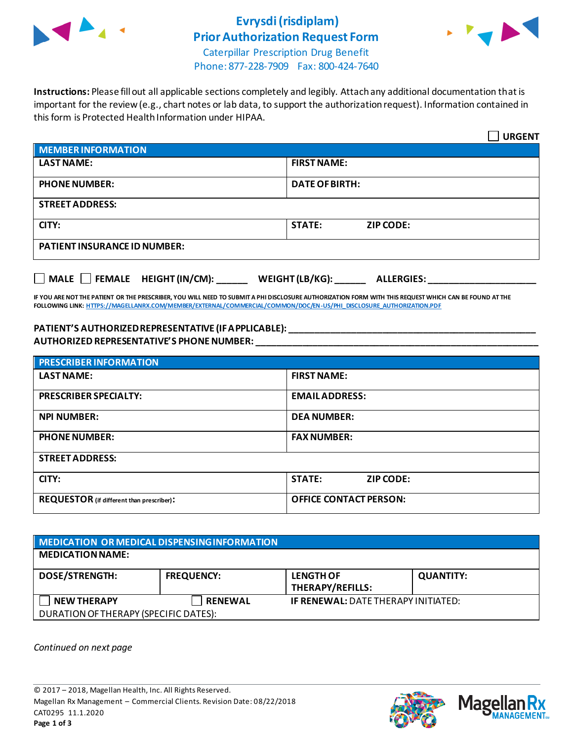

## **Evrysdi (risdiplam) Prior Authorization Request Form**



Caterpillar Prescription Drug Benefit Phone: 877-228-7909 Fax: 800-424-7640

**Instructions:** Please fill out all applicable sections completely and legibly. Attach any additional documentation that is important for the review (e.g., chart notes or lab data, to support the authorization request). Information contained in this form is Protected Health Information under HIPAA.

|                                           | <b>URGENT</b>                        |
|-------------------------------------------|--------------------------------------|
| <b>MEMBER INFORMATION</b>                 |                                      |
| <b>LAST NAME:</b>                         | <b>FIRST NAME:</b>                   |
| <b>PHONE NUMBER:</b>                      | <b>DATE OF BIRTH:</b>                |
| <b>STREET ADDRESS:</b>                    |                                      |
| CITY:                                     | <b>STATE:</b><br>ZIP CODE:           |
| <b>PATIENT INSURANCE ID NUMBER:</b>       |                                      |
| $\Box$ MALE $\Box$ FEMALE HEIGHT (IN/CM): | WEIGHT (LB/KG):<br><b>ALLERGIES:</b> |

**IF YOU ARE NOT THE PATIENT OR THE PRESCRIBER, YOU WILL NEED TO SUBMIT A PHI DISCLOSURE AUTHORIZATION FORM WITH THIS REQUEST WHICH CAN BE FOUND AT THE FOLLOWING LINK[: HTTPS://MAGELLANRX.COM/MEMBER/EXTERNAL/COMMERCIAL/COMMON/DOC/EN-US/PHI\\_DISCLOSURE\\_AUTHORIZATION.PDF](https://magellanrx.com/member/external/commercial/common/doc/en-us/PHI_Disclosure_Authorization.pdf)**

#### **PATIENT'S AUTHORIZED REPRESENTATIVE (IF APPLICABLE): \_\_\_\_\_\_\_\_\_\_\_\_\_\_\_\_\_\_\_\_\_\_\_\_\_\_\_\_\_\_\_\_\_\_\_\_\_\_\_\_\_\_\_\_\_\_\_\_ AUTHORIZED REPRESENTATIVE'S PHONE NUMBER: \_\_\_\_\_\_\_\_\_\_\_\_\_\_\_\_\_\_\_\_\_\_\_\_\_\_\_\_\_\_\_\_\_\_\_\_\_\_\_\_\_\_\_\_\_\_\_\_\_\_\_\_\_\_\_**

| <b>PRESCRIBER INFORMATION</b>             |                                   |  |  |
|-------------------------------------------|-----------------------------------|--|--|
| <b>LAST NAME:</b>                         | <b>FIRST NAME:</b>                |  |  |
| <b>PRESCRIBER SPECIALTY:</b>              | <b>EMAIL ADDRESS:</b>             |  |  |
| <b>NPI NUMBER:</b>                        | <b>DEA NUMBER:</b>                |  |  |
| <b>PHONE NUMBER:</b>                      | <b>FAX NUMBER:</b>                |  |  |
| <b>STREET ADDRESS:</b>                    |                                   |  |  |
| CITY:                                     | <b>STATE:</b><br><b>ZIP CODE:</b> |  |  |
| REQUESTOR (if different than prescriber): | <b>OFFICE CONTACT PERSON:</b>     |  |  |

| MEDICATION OR MEDICAL DISPENSING INFORMATION |                   |                                            |                  |  |  |
|----------------------------------------------|-------------------|--------------------------------------------|------------------|--|--|
| <b>MEDICATION NAME:</b>                      |                   |                                            |                  |  |  |
| <b>DOSE/STRENGTH:</b>                        | <b>FREQUENCY:</b> | <b>LENGTH OF</b><br>THERAPY/REFILLS:       | <b>QUANTITY:</b> |  |  |
| <b>NEW THERAPY</b>                           | <b>RENEWAL</b>    | <b>IF RENEWAL: DATE THERAPY INITIATED:</b> |                  |  |  |
| DURATION OF THERAPY (SPECIFIC DATES):        |                   |                                            |                  |  |  |

*Continued on next page*



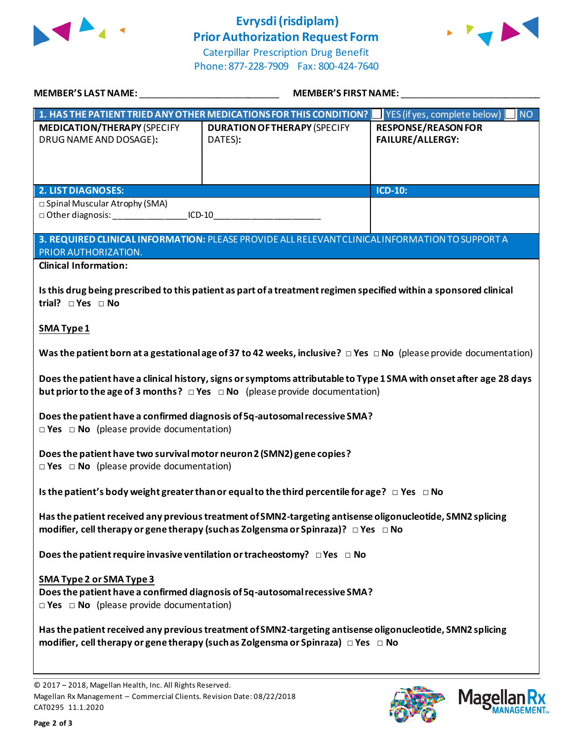

# **Evrysdi (risdiplam) Prior Authorization Request Form**



Caterpillar Prescription Drug Benefit Phone: 877-228-7909 Fax: 800-424-7640

| MEMBER'S LAST NAME:                                                                                                                                                                                          | <b>MEMBER'S FIRST NAME:</b>                                                                                                 |                                                         |  |
|--------------------------------------------------------------------------------------------------------------------------------------------------------------------------------------------------------------|-----------------------------------------------------------------------------------------------------------------------------|---------------------------------------------------------|--|
|                                                                                                                                                                                                              | 1. HAS THE PATIENT TRIED ANY OTHER MEDICATIONS FOR THIS CONDITION?                                                          | $\overline{\mathsf{N}}$<br>YES (if yes, complete below) |  |
| <b>MEDICATION/THERAPY (SPECIFY</b><br>DRUG NAME AND DOSAGE):                                                                                                                                                 | <b>DURATION OF THERAPY (SPECIFY</b><br>DATES):                                                                              | <b>RESPONSE/REASON FOR</b><br><b>FAILURE/ALLERGY:</b>   |  |
| <b>2. LIST DIAGNOSES:</b>                                                                                                                                                                                    |                                                                                                                             | <b>ICD-10:</b>                                          |  |
| $\overline{\Box}$ Spinal Muscular Atrophy (SMA)                                                                                                                                                              |                                                                                                                             |                                                         |  |
| PRIOR AUTHORIZATION.                                                                                                                                                                                         | 3. REQUIRED CLINICAL INFORMATION: PLEASE PROVIDE ALL RELEVANT CLINICAL INFORMATION TO SUPPORT A                             |                                                         |  |
| <b>Clinical Information:</b>                                                                                                                                                                                 |                                                                                                                             |                                                         |  |
| trial? $\square$ Yes $\square$ No                                                                                                                                                                            | Is this drug being prescribed to this patient as part of a treatment regimen specified within a sponsored clinical          |                                                         |  |
| <b>SMA Type 1</b>                                                                                                                                                                                            |                                                                                                                             |                                                         |  |
|                                                                                                                                                                                                              | Was the patient born at a gestational age of 37 to 42 weeks, inclusive? $\Box$ Yes $\Box$ No (please provide documentation) |                                                         |  |
| Does the patient have a clinical history, signs or symptoms attributable to Type 1 SMA with onset after age 28 days<br>but prior to the age of 3 months? $\Box$ Yes $\Box$ No (please provide documentation) |                                                                                                                             |                                                         |  |
| Does the patient have a confirmed diagnosis of 5q-autosomal recessive SMA?<br>$\Box$ Yes $\Box$ No (please provide documentation)                                                                            |                                                                                                                             |                                                         |  |
| Does the patient have two survival motor neuron 2 (SMN2) gene copies?<br>$\Box$ Yes $\Box$ No (please provide documentation)                                                                                 |                                                                                                                             |                                                         |  |
| Is the patient's body weight greater than or equal to the third percentile for age? $\Box$ Yes $\Box$ No                                                                                                     |                                                                                                                             |                                                         |  |
| Has the patient received any previous treatment of SMN2-targeting antisense oligonucleotide, SMN2 splicing<br>modifier, cell therapy or gene therapy (such as Zolgensma or Spinraza)? $\Box$ Yes $\Box$ No   |                                                                                                                             |                                                         |  |
| Does the patient require invasive ventilation or tracheostomy? $\Box$ Yes $\Box$ No                                                                                                                          |                                                                                                                             |                                                         |  |
| SMA Type 2 or SMA Type 3<br>$\Box$ Yes $\Box$ No (please provide documentation)                                                                                                                              | Does the patient have a confirmed diagnosis of 5q-autosomal recessive SMA?                                                  |                                                         |  |
| Has the patient received any previous treatment of SMN2-targeting antisense oligonucleotide, SMN2 splicing<br>modifier, cell therapy or gene therapy (such as Zolgensma or Spinraza) $\Box$ Yes $\Box$ No    |                                                                                                                             |                                                         |  |

© 2017 – 2018, Magellan Health, Inc. All Rights Reserved. Magellan Rx Management – Commercial Clients. Revision Date: 08/22/2018 CAT0295 11.1.2020